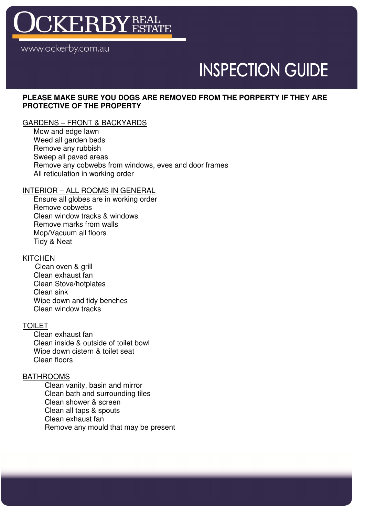

www.ockerby.com.au

## **INSPECTION GUIDE**

#### **PLEASE MAKE SURE YOU DOGS ARE REMOVED FROM THE PORPERTY IF THEY ARE PROTECTIVE OF THE PROPERTY**

#### GARDENS – FRONT & BACKYARDS

Mow and edge lawn Weed all garden beds Remove any rubbish Sweep all paved areas Remove any cobwebs from windows, eves and door frames All reticulation in working order

#### INTERIOR – ALL ROOMS IN GENERAL

Ensure all globes are in working order Remove cobwebs Clean window tracks & windows Remove marks from walls Mop/Vacuum all floors Tidy & Neat

#### **KITCHEN**

 Clean oven & grill Clean exhaust fan Clean Stove/hotplates Clean sink Wipe down and tidy benches Clean window tracks

#### TOILET

Clean exhaust fan Clean inside & outside of toilet bowl Wipe down cistern & toilet seat Clean floors

#### BATHROOMS

Clean vanity, basin and mirror Clean bath and surrounding tiles Clean shower & screen Clean all taps & spouts Clean exhaust fan Remove any mould that may be present